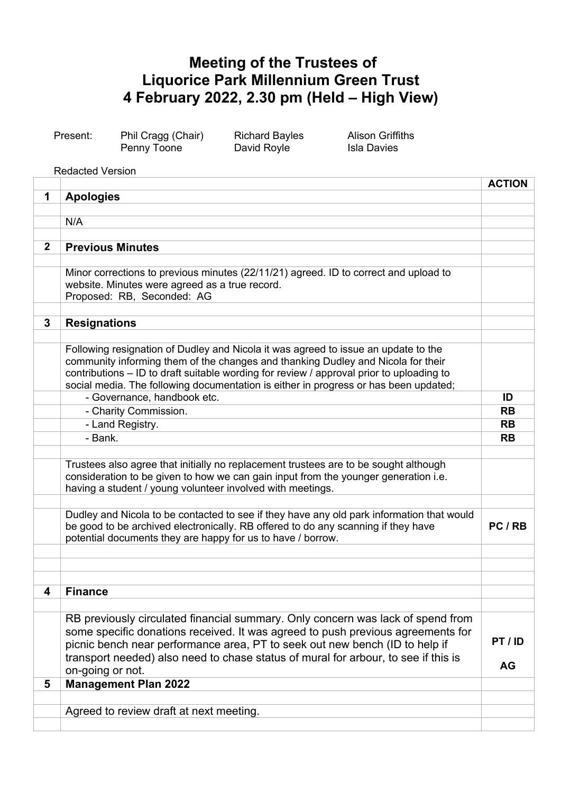## **Meeting of the Trustees of Liquorice Park Millennium Green Trust 4 February 2022, 2.30 pm (Held – High View)**

| Present: | Phil Cragg (Chair) | <b>Richard Bayles</b> | <b>Alison Griffiths</b> |
|----------|--------------------|-----------------------|-------------------------|
|          | Penny Toone        | David Royle           | Isla Davies             |

Redacted Version

|              |                                                                                                                                                                                | <b>ACTION</b> |
|--------------|--------------------------------------------------------------------------------------------------------------------------------------------------------------------------------|---------------|
| 1            | <b>Apologies</b>                                                                                                                                                               |               |
|              |                                                                                                                                                                                |               |
|              | N/A                                                                                                                                                                            |               |
|              |                                                                                                                                                                                |               |
| $\mathbf{2}$ | <b>Previous Minutes</b>                                                                                                                                                        |               |
|              |                                                                                                                                                                                |               |
|              | Minor corrections to previous minutes (22/11/21) agreed. ID to correct and upload to<br>website. Minutes were agreed as a true record.                                         |               |
|              | Proposed: RB, Seconded: AG                                                                                                                                                     |               |
|              |                                                                                                                                                                                |               |
| 3            | <b>Resignations</b>                                                                                                                                                            |               |
|              |                                                                                                                                                                                |               |
|              | Following resignation of Dudley and Nicola it was agreed to issue an update to the                                                                                             |               |
|              | community informing them of the changes and thanking Dudley and Nicola for their                                                                                               |               |
|              | contributions - ID to draft suitable wording for review / approval prior to uploading to                                                                                       |               |
|              | social media. The following documentation is either in progress or has been updated;                                                                                           |               |
|              | - Governance, handbook etc.                                                                                                                                                    | ID            |
|              | - Charity Commission.                                                                                                                                                          | <b>RB</b>     |
|              | - Land Registry.                                                                                                                                                               | <b>RB</b>     |
|              | - Bank.                                                                                                                                                                        | <b>RB</b>     |
|              |                                                                                                                                                                                |               |
|              | Trustees also agree that initially no replacement trustees are to be sought although                                                                                           |               |
|              | consideration to be given to how we can gain input from the younger generation i.e.                                                                                            |               |
|              | having a student / young volunteer involved with meetings.                                                                                                                     |               |
|              |                                                                                                                                                                                |               |
|              | Dudley and Nicola to be contacted to see if they have any old park information that would<br>be good to be archived electronically. RB offered to do any scanning if they have | PC/RB         |
|              | potential documents they are happy for us to have / borrow.                                                                                                                    |               |
|              |                                                                                                                                                                                |               |
|              |                                                                                                                                                                                |               |
|              |                                                                                                                                                                                |               |
| 4            | <b>Finance</b>                                                                                                                                                                 |               |
|              |                                                                                                                                                                                |               |
|              | RB previously circulated financial summary. Only concern was lack of spend from                                                                                                |               |
|              | some specific donations received. It was agreed to push previous agreements for                                                                                                |               |
|              | picnic bench near performance area, PT to seek out new bench (ID to help if                                                                                                    | PT/ID         |
|              | transport needed) also need to chase status of mural for arbour, to see if this is                                                                                             |               |
|              | on-going or not.                                                                                                                                                               | AG            |
| 5            | <b>Management Plan 2022</b>                                                                                                                                                    |               |
|              |                                                                                                                                                                                |               |
|              | Agreed to review draft at next meeting.                                                                                                                                        |               |
|              |                                                                                                                                                                                |               |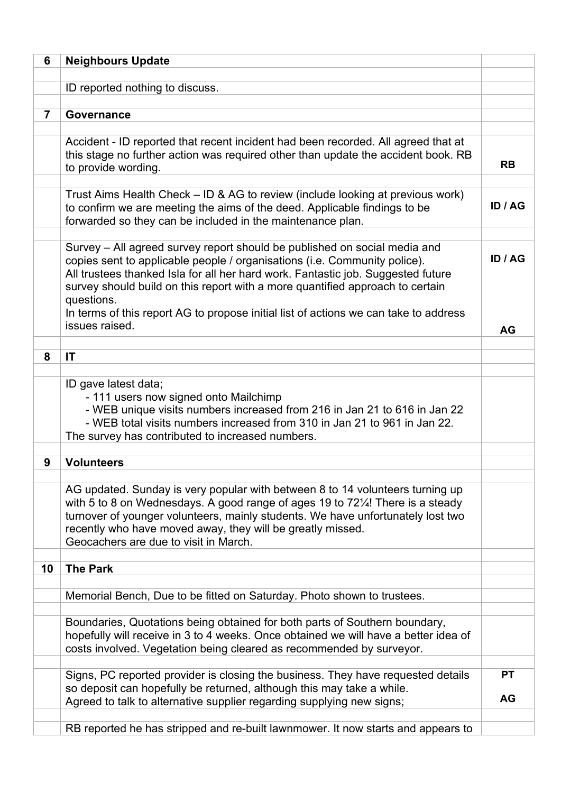| 6              | <b>Neighbours Update</b>                                                                                                                                                                                                                                                                                                                                                                                                                            |                        |
|----------------|-----------------------------------------------------------------------------------------------------------------------------------------------------------------------------------------------------------------------------------------------------------------------------------------------------------------------------------------------------------------------------------------------------------------------------------------------------|------------------------|
|                | ID reported nothing to discuss.                                                                                                                                                                                                                                                                                                                                                                                                                     |                        |
|                |                                                                                                                                                                                                                                                                                                                                                                                                                                                     |                        |
| $\overline{7}$ | <b>Governance</b>                                                                                                                                                                                                                                                                                                                                                                                                                                   |                        |
|                |                                                                                                                                                                                                                                                                                                                                                                                                                                                     |                        |
|                | Accident - ID reported that recent incident had been recorded. All agreed that at<br>this stage no further action was required other than update the accident book. RB<br>to provide wording.                                                                                                                                                                                                                                                       | <b>RB</b>              |
|                | Trust Aims Health Check – ID & AG to review (include looking at previous work)<br>to confirm we are meeting the aims of the deed. Applicable findings to be<br>forwarded so they can be included in the maintenance plan.                                                                                                                                                                                                                           | ID / AG                |
|                | Survey – All agreed survey report should be published on social media and<br>copies sent to applicable people / organisations (i.e. Community police).<br>All trustees thanked Isla for all her hard work. Fantastic job. Suggested future<br>survey should build on this report with a more quantified approach to certain<br>questions.<br>In terms of this report AG to propose initial list of actions we can take to address<br>issues raised. | ID / AG                |
|                |                                                                                                                                                                                                                                                                                                                                                                                                                                                     | <b>AG</b>              |
|                |                                                                                                                                                                                                                                                                                                                                                                                                                                                     |                        |
| 8              | IT                                                                                                                                                                                                                                                                                                                                                                                                                                                  |                        |
|                | ID gave latest data;<br>- 111 users now signed onto Mailchimp<br>- WEB unique visits numbers increased from 216 in Jan 21 to 616 in Jan 22<br>- WEB total visits numbers increased from 310 in Jan 21 to 961 in Jan 22.<br>The survey has contributed to increased numbers.                                                                                                                                                                         |                        |
|                |                                                                                                                                                                                                                                                                                                                                                                                                                                                     |                        |
| 9              | <b>Volunteers</b>                                                                                                                                                                                                                                                                                                                                                                                                                                   |                        |
|                | AG updated. Sunday is very popular with between 8 to 14 volunteers turning up<br>with 5 to 8 on Wednesdays. A good range of ages 19 to 72¼! There is a steady<br>turnover of younger volunteers, mainly students. We have unfortunately lost two<br>recently who have moved away, they will be greatly missed.<br>Geocachers are due to visit in March.                                                                                             |                        |
| 10             | <b>The Park</b>                                                                                                                                                                                                                                                                                                                                                                                                                                     |                        |
|                |                                                                                                                                                                                                                                                                                                                                                                                                                                                     |                        |
|                | Memorial Bench, Due to be fitted on Saturday. Photo shown to trustees.                                                                                                                                                                                                                                                                                                                                                                              |                        |
|                | Boundaries, Quotations being obtained for both parts of Southern boundary,<br>hopefully will receive in 3 to 4 weeks. Once obtained we will have a better idea of<br>costs involved. Vegetation being cleared as recommended by surveyor.                                                                                                                                                                                                           |                        |
|                | Signs, PC reported provider is closing the business. They have requested details<br>so deposit can hopefully be returned, although this may take a while.<br>Agreed to talk to alternative supplier regarding supplying new signs;                                                                                                                                                                                                                  | <b>PT</b><br><b>AG</b> |
|                |                                                                                                                                                                                                                                                                                                                                                                                                                                                     |                        |
|                | RB reported he has stripped and re-built lawnmower. It now starts and appears to                                                                                                                                                                                                                                                                                                                                                                    |                        |